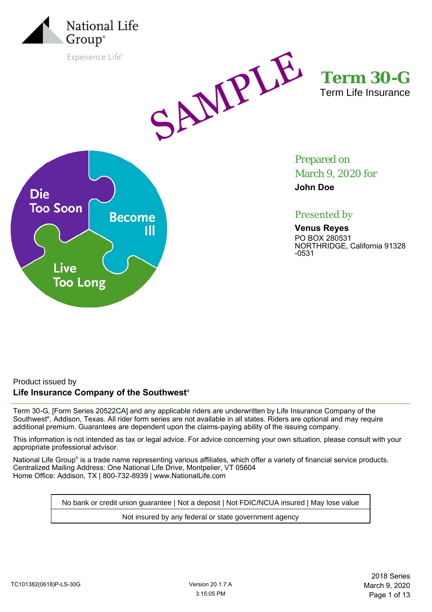

Experience Life®



**Term 30-G** Term Life Insurance



Prepared on March 9, 2020 for

**John Doe**

# Presented by

**Venus Reyes** PO BOX 280531 NORTHRIDGE, California 91328 -0531

## Product issued by **Life Insurance Company of the Southwest®**

Term 30-G, [Form Series 20522CA] and any applicable riders are underwritten by Life Insurance Company of the Southwest® , Addison, Texas. All rider form series are not available in all states. Riders are optional and may require additional premium. Guarantees are dependent upon the claims-paying ability of the issuing company.

This information is not intended as tax or legal advice. For advice concerning your own situation, please consult with your appropriate professional advisor.

National Life Group® is a trade name representing various affiliates, which offer a variety of financial service products. Centralized Mailing Address: One National Life Drive, Montpelier, VT 05604 Home Office: Addison, TX | 800-732-8939 | www.NationalLife.com

No bank or credit union guarantee | Not a deposit | Not FDIC/NCUA insured | May lose value

Not insured by any federal or state government agency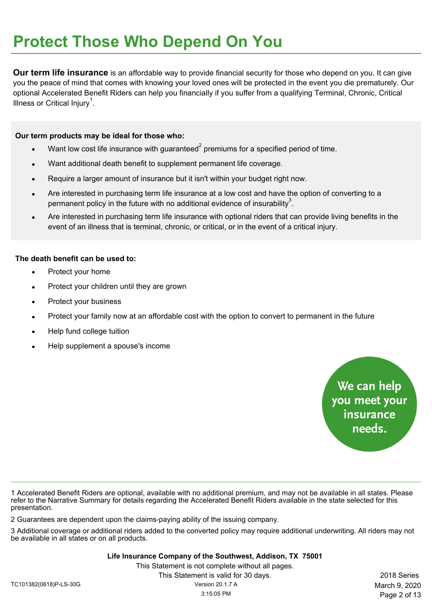**Our term life insurance** is an affordable way to provide financial security for those who depend on you. It can give you the peace of mind that comes with knowing your loved ones will be protected in the event you die prematurely. Our optional Accelerated Benefit Riders can help you financially if you suffer from a qualifying Terminal, Chronic, Critical Illness or Critical Injury<sup>1</sup>.

#### **Our term products may be ideal for those who:**

- Want low cost life insurance with guaranteed<sup>2</sup> premiums for a specified period of time.
- Want additional death benefit to supplement permanent life coverage.
- Require a larger amount of insurance but it isn't within your budget right now.
- Are interested in purchasing term life insurance at a low cost and have the option of converting to a permanent policy in the future with no additional evidence of insurability<sup>3</sup>.
- Are interested in purchasing term life insurance with optional riders that can provide living benefits in the event of an illness that is terminal, chronic, or critical, or in the event of a critical injury.

#### **The death benefit can be used to:**

- Protect your home
- Protect your children until they are grown
- Protect your business
- Protect your family now at an affordable cost with the option to convert to permanent in the future
- Help fund college tuition
- Help supplement a spouse's income

We can help you meet your<br>insurance needs.

1 Accelerated Benefit Riders are optional, available with no additional premium, and may not be available in all states. Please refer to the Narrative Summary for details regarding the Accelerated Benefit Riders available in the state selected for this presentation.

2 Guarantees are dependent upon the claims-paying ability of the issuing company.

3 Additional coverage or additional riders added to the converted policy may require additional underwriting. All riders may not be available in all states or on all products.

**Life Insurance Company of the Southwest, Addison, TX 75001**

This Statement is not complete without all pages.

This Statement is valid for 30 days. 2018 Series Page 2 of 13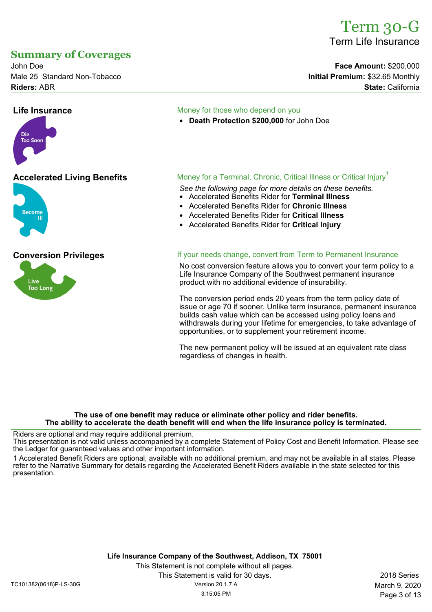# Term 30-G Term Life Insurance

John Doe **Face Amount:** \$200,000 Male 25 Standard Non-Tobacco **Initial Premium: \$32.65 Monthly** 

# **Summary of Coverages**

**Riders:** ABR **State:** California

# **Life Insurance Money for those who depend on you**

• **Death Protection \$200,000** for John Doe



Die **Too Soor** 



## **Accelerated Living Benefits** Money for a Terminal, Chronic, Critical Illness or Critical Injury<sup>1</sup>

*See the following page for more details on these benefits.*

- Accelerated Benefits Rider for **Terminal Illness**
- Accelerated Benefits Rider for **Chronic Illness**
- Accelerated Benefits Rider for **Critical Illness**
- Accelerated Benefits Rider for **Critical Injury**

#### **Conversion Privileges If your needs change, convert from Term to Permanent Insurance**

No cost conversion feature allows you to convert your term policy to a Life Insurance Company of the Southwest permanent insurance product with no additional evidence of insurability.

The conversion period ends 20 years from the term policy date of issue or age 70 if sooner. Unlike term insurance, permanent insurance builds cash value which can be accessed using policy loans and withdrawals during your lifetime for emergencies, to take advantage of opportunities, or to supplement your retirement income.

The new permanent policy will be issued at an equivalent rate class regardless of changes in health.

#### **The use of one benefit may reduce or eliminate other policy and rider benefits. The ability to accelerate the death benefit will end when the life insurance policy is terminated.**

Riders are optional and may require additional premium.

This presentation is not valid unless accompanied by a complete Statement of Policy Cost and Benefit Information. Please see the Ledger for guaranteed values and other important information.

1 Accelerated Benefit Riders are optional, available with no additional premium, and may not be available in all states. Please refer to the Narrative Summary for details regarding the Accelerated Benefit Riders available in the state selected for this presentation.

**Life Insurance Company of the Southwest, Addison, TX 75001** This Statement is not complete without all pages. This Statement is valid for 30 days. 2018 Series TC101382(0618)P-LS-30G Version 20.1.7 A March 9, 2020

Page 3 of 13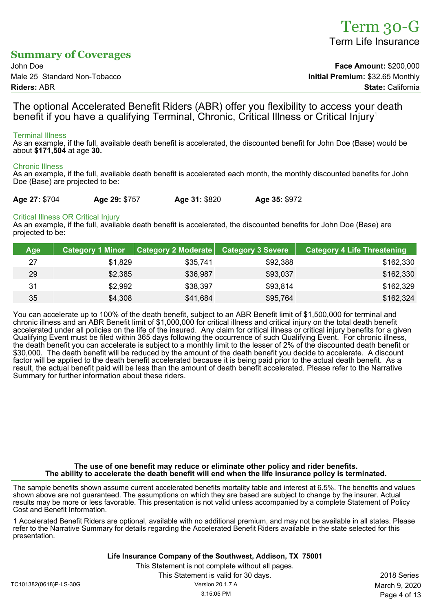# Term 30-G Term Life Insurance

# **Summary of Coverages**

John Doe **Face Amount:** \$200,000 Male 25 Standard Non-Tobacco **Initial Premium:** \$32.65 Monthly **Riders:** ABR **State:** California

The optional Accelerated Benefit Riders (ABR) offer you flexibility to access your death benefit if you have a qualifying Terminal, Chronic, Critical Illness or Critical Injury<sup>1</sup>

#### Terminal Illness

As an example, if the full, available death benefit is accelerated, the discounted benefit for John Doe (Base) would be about **\$171,504** at age **30.**

#### Chronic Illness

As an example, if the full, available death benefit is accelerated each month, the monthly discounted benefits for John Doe (Base) are projected to be:

| Age 27: \$704 | Age 29: \$757 | Age 31: \$820 | Age 35: \$972 |
|---------------|---------------|---------------|---------------|
|               |               |               |               |

#### Critical Illness OR Critical Injury

As an example, if the full, available death benefit is accelerated, the discounted benefits for John Doe (Base) are projected to be:

| <b>Age</b> | Category 1 Minor <sup> </sup> | Category 2 Moderate   Category 3 Severe |          | <b>Category 4 Life Threatening</b> |
|------------|-------------------------------|-----------------------------------------|----------|------------------------------------|
| 27         | \$1.829                       | \$35,741                                | \$92,388 | \$162,330                          |
| 29         | \$2,385                       | \$36,987                                | \$93,037 | \$162,330                          |
| 31         | \$2,992                       | \$38,397                                | \$93,814 | \$162,329                          |
| 35         | \$4,308                       | \$41,684                                | \$95,764 | \$162,324                          |

You can accelerate up to 100% of the death benefit, subject to an ABR Benefit limit of \$1,500,000 for terminal and chronic illness and an ABR Benefit limit of \$1,000,000 for critical illness and critical injury on the total death benefit accelerated under all policies on the life of the insured. Any claim for critical illness or critical injury benefits for a given Qualifying Event must be filed within 365 days following the occurrence of such Qualifying Event. For chronic illness, the death benefit you can accelerate is subject to a monthly limit to the lesser of 2% of the discounted death benefit or \$30,000. The death benefit will be reduced by the amount of the death benefit you decide to accelerate. A discount factor will be applied to the death benefit accelerated because it is being paid prior to the actual death benefit. As a result, the actual benefit paid will be less than the amount of death benefit accelerated. Please refer to the Narrative Summary for further information about these riders.

#### **The use of one benefit may reduce or eliminate other policy and rider benefits. The ability to accelerate the death benefit will end when the life insurance policy is terminated.**

The sample benefits shown assume current accelerated benefits mortality table and interest at 6.5%. The benefits and values shown above are not guaranteed. The assumptions on which they are based are subject to change by the insurer. Actual results may be more or less favorable. This presentation is not valid unless accompanied by a complete Statement of Policy Cost and Benefit Information.

1 Accelerated Benefit Riders are optional, available with no additional premium, and may not be available in all states. Please refer to the Narrative Summary for details regarding the Accelerated Benefit Riders available in the state selected for this presentation.

**Life Insurance Company of the Southwest, Addison, TX 75001**

This Statement is not complete without all pages.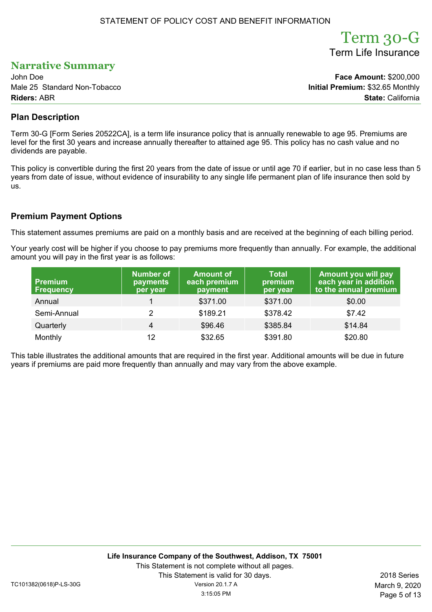### STATEMENT OF POLICY COST AND BENEFIT INFORMATION

# Term 30-G Term Life Insurance

Page 5 of 13

# **Narrative Summary**

John Doe **Face Amount:** \$200,000 Male 25 Standard Non-Tobacco **Initial Premium:** \$32.65 Monthly **Riders:** ABR **State:** California

## **Plan Description**

Term 30-G [Form Series 20522CA], is a term life insurance policy that is annually renewable to age 95. Premiums are level for the first 30 years and increase annually thereafter to attained age 95. This policy has no cash value and no dividends are payable.

This policy is convertible during the first 20 years from the date of issue or until age 70 if earlier, but in no case less than 5 years from date of issue, without evidence of insurability to any single life permanent plan of life insurance then sold by us.

## **Premium Payment Options**

This statement assumes premiums are paid on a monthly basis and are received at the beginning of each billing period.

Your yearly cost will be higher if you choose to pay premiums more frequently than annually. For example, the additional amount you will pay in the first year is as follows:

| <b>Premium</b><br><b>Frequency</b> | <b>Number of</b><br>payments<br>per year | <b>Amount of</b><br>each premium<br>payment | <b>Total</b><br>premium<br>per year | Amount you will pay<br>each year in addition<br>to the annual premium |
|------------------------------------|------------------------------------------|---------------------------------------------|-------------------------------------|-----------------------------------------------------------------------|
| Annual                             |                                          | \$371.00                                    | \$371.00                            | \$0.00                                                                |
| Semi-Annual                        | $\mathbf{2}^{\prime}$                    | \$189.21                                    | \$378.42                            | \$7.42                                                                |
| Quarterly                          | $\overline{4}$                           | \$96.46                                     | \$385.84                            | \$14.84                                                               |
| Monthly                            | 12                                       | \$32.65                                     | \$391.80                            | \$20.80                                                               |

This table illustrates the additional amounts that are required in the first year. Additional amounts will be due in future years if premiums are paid more frequently than annually and may vary from the above example.